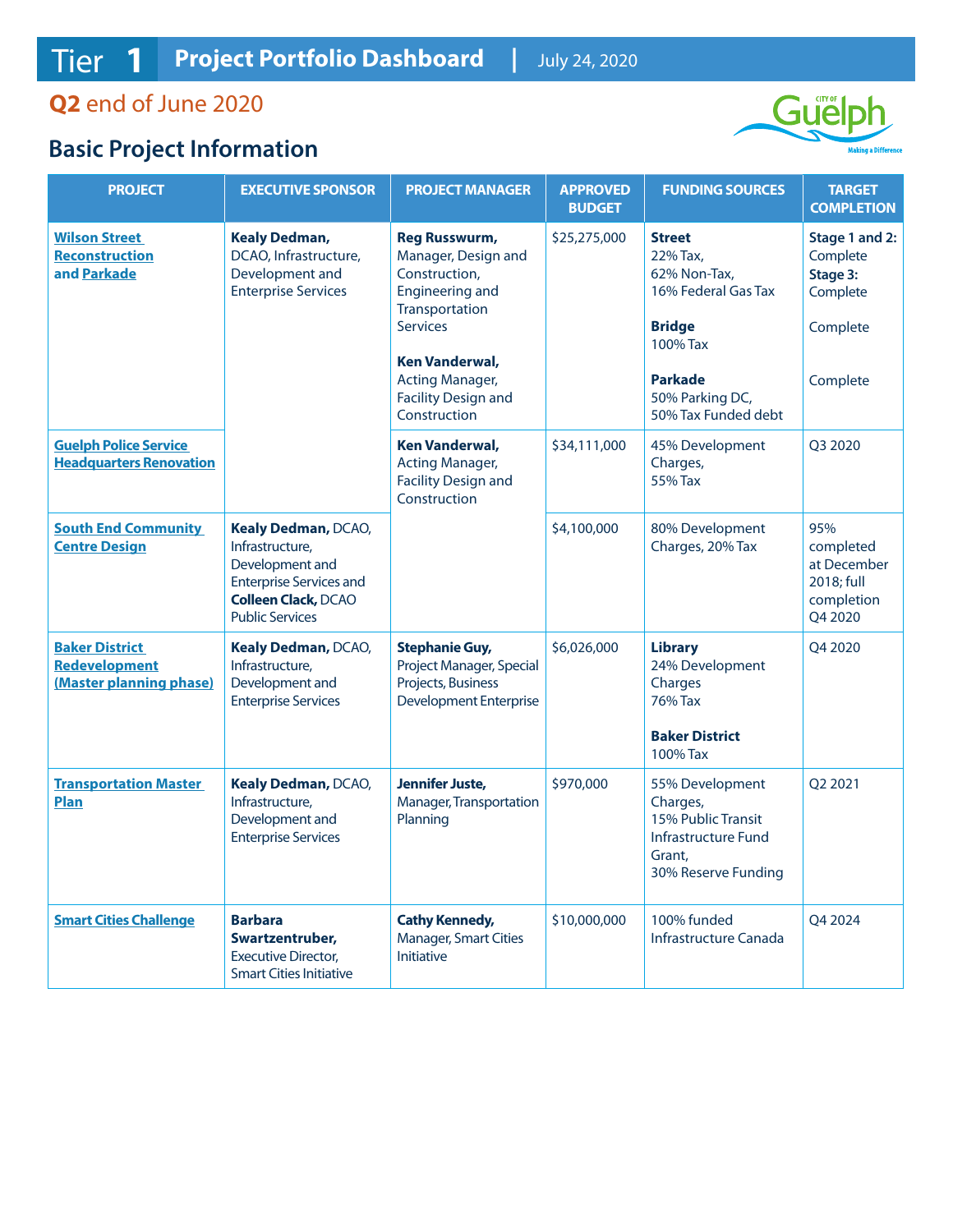## **Q2** end of June 2020

## **Basic Project Information**



| <b>PROJECT</b>                                                                               | <b>EXECUTIVE SPONSOR</b>                                                                                                                            | <b>PROJECT MANAGER</b>                                                                                                                                                                                                                  | <b>APPROVED</b><br><b>BUDGET</b> | <b>FUNDING SOURCES</b>                                                                                                                                                       | <b>TARGET</b><br><b>COMPLETION</b>                                                    |
|----------------------------------------------------------------------------------------------|-----------------------------------------------------------------------------------------------------------------------------------------------------|-----------------------------------------------------------------------------------------------------------------------------------------------------------------------------------------------------------------------------------------|----------------------------------|------------------------------------------------------------------------------------------------------------------------------------------------------------------------------|---------------------------------------------------------------------------------------|
| <b>Wilson Street</b><br><b>Reconstruction</b><br>and Parkade<br><b>Guelph Police Service</b> | <b>Kealy Dedman,</b><br>DCAO, Infrastructure,<br>Development and<br><b>Enterprise Services</b>                                                      | <b>Reg Russwurm,</b><br>Manager, Design and<br>Construction,<br><b>Engineering and</b><br>Transportation<br><b>Services</b><br>Ken Vanderwal,<br>Acting Manager,<br><b>Facility Design and</b><br>Construction<br><b>Ken Vanderwal,</b> | \$25,275,000<br>\$34,111,000     | <b>Street</b><br>22% Tax.<br>62% Non-Tax.<br>16% Federal Gas Tax<br><b>Bridge</b><br>100% Tax<br><b>Parkade</b><br>50% Parking DC,<br>50% Tax Funded debt<br>45% Development | Stage 1 and 2:<br>Complete<br>Stage 3:<br>Complete<br>Complete<br>Complete<br>Q3 2020 |
| <b>Headquarters Renovation</b>                                                               |                                                                                                                                                     | <b>Acting Manager,</b><br><b>Facility Design and</b><br>Construction                                                                                                                                                                    |                                  | Charges,<br>55% Tax                                                                                                                                                          |                                                                                       |
| <b>South End Community</b><br><b>Centre Design</b>                                           | Kealy Dedman, DCAO,<br>Infrastructure,<br>Development and<br><b>Enterprise Services and</b><br><b>Colleen Clack, DCAO</b><br><b>Public Services</b> |                                                                                                                                                                                                                                         | \$4,100,000                      | 80% Development<br>Charges, 20% Tax                                                                                                                                          | 95%<br>completed<br>at December<br>2018; full<br>completion<br>Q4 2020                |
| <b>Baker District</b><br>Redevelopment<br>(Master planning phase)                            | Kealy Dedman, DCAO,<br>Infrastructure,<br>Development and<br><b>Enterprise Services</b>                                                             | <b>Stephanie Guy,</b><br>Project Manager, Special<br>Projects, Business<br><b>Development Enterprise</b>                                                                                                                                | \$6,026,000                      | <b>Library</b><br>24% Development<br>Charges<br><b>76% Tax</b><br><b>Baker District</b><br>100% Tax                                                                          | Q4 2020                                                                               |
| <b>Transportation Master</b><br>Plan                                                         | Kealy Dedman, DCAO,<br>Infrastructure,<br>Development and<br><b>Enterprise Services</b>                                                             | Jennifer Juste,<br>Manager, Transportation<br>Planning                                                                                                                                                                                  | \$970,000                        | 55% Development<br>Charges,<br>15% Public Transit<br>Infrastructure Fund<br>Grant,<br>30% Reserve Funding                                                                    | Q2 2021                                                                               |
| <b>Smart Cities Challenge</b>                                                                | <b>Barbara</b><br>Swartzentruber,<br><b>Executive Director,</b><br><b>Smart Cities Initiative</b>                                                   | <b>Cathy Kennedy,</b><br><b>Manager, Smart Cities</b><br><b>Initiative</b>                                                                                                                                                              | \$10,000,000                     | 100% funded<br>Infrastructure Canada                                                                                                                                         | Q4 2024                                                                               |